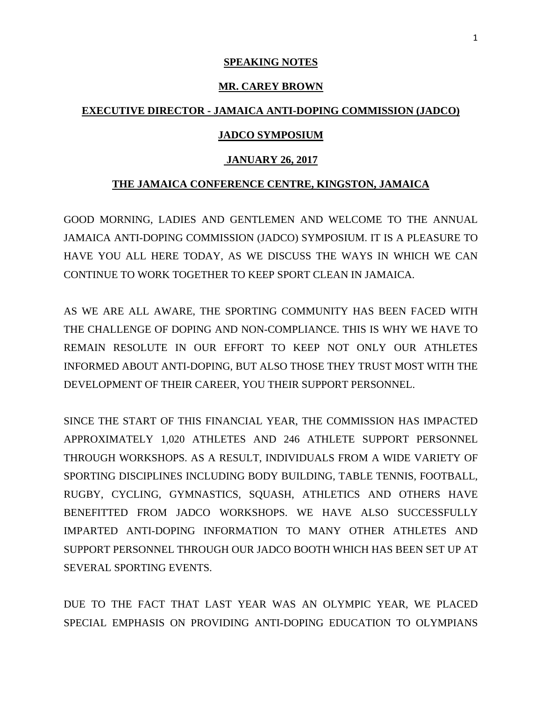# **SPEAKING NOTES**

#### **MR. CAREY BROWN**

# **EXECUTIVE DIRECTOR - JAMAICA ANTI-DOPING COMMISSION (JADCO)**

### **JADCO SYMPOSIUM**

### **JANUARY 26, 2017**

#### **THE JAMAICA CONFERENCE CENTRE, KINGSTON, JAMAICA**

GOOD MORNING, LADIES AND GENTLEMEN AND WELCOME TO THE ANNUAL JAMAICA ANTI-DOPING COMMISSION (JADCO) SYMPOSIUM. IT IS A PLEASURE TO HAVE YOU ALL HERE TODAY, AS WE DISCUSS THE WAYS IN WHICH WE CAN CONTINUE TO WORK TOGETHER TO KEEP SPORT CLEAN IN JAMAICA.

AS WE ARE ALL AWARE, THE SPORTING COMMUNITY HAS BEEN FACED WITH THE CHALLENGE OF DOPING AND NON-COMPLIANCE. THIS IS WHY WE HAVE TO REMAIN RESOLUTE IN OUR EFFORT TO KEEP NOT ONLY OUR ATHLETES INFORMED ABOUT ANTI-DOPING, BUT ALSO THOSE THEY TRUST MOST WITH THE DEVELOPMENT OF THEIR CAREER, YOU THEIR SUPPORT PERSONNEL.

SINCE THE START OF THIS FINANCIAL YEAR, THE COMMISSION HAS IMPACTED APPROXIMATELY 1,020 ATHLETES AND 246 ATHLETE SUPPORT PERSONNEL THROUGH WORKSHOPS. AS A RESULT, INDIVIDUALS FROM A WIDE VARIETY OF SPORTING DISCIPLINES INCLUDING BODY BUILDING, TABLE TENNIS, FOOTBALL, RUGBY, CYCLING, GYMNASTICS, SQUASH, ATHLETICS AND OTHERS HAVE BENEFITTED FROM JADCO WORKSHOPS. WE HAVE ALSO SUCCESSFULLY IMPARTED ANTI-DOPING INFORMATION TO MANY OTHER ATHLETES AND SUPPORT PERSONNEL THROUGH OUR JADCO BOOTH WHICH HAS BEEN SET UP AT SEVERAL SPORTING EVENTS.

DUE TO THE FACT THAT LAST YEAR WAS AN OLYMPIC YEAR, WE PLACED SPECIAL EMPHASIS ON PROVIDING ANTI-DOPING EDUCATION TO OLYMPIANS